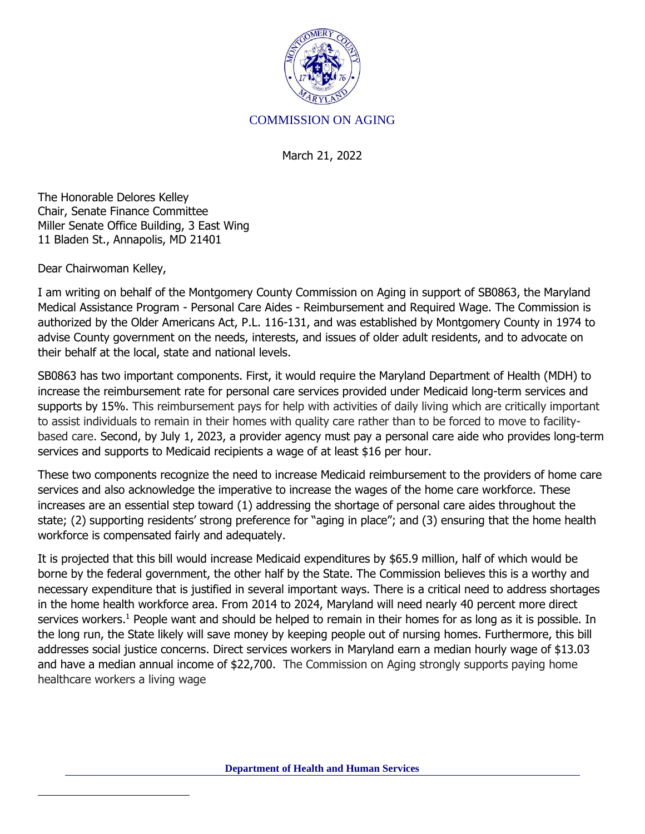

## COMMISSION ON AGING

March 21, 2022

The Honorable Delores Kelley Chair, Senate Finance Committee Miller Senate Office Building, 3 East Wing 11 Bladen St., Annapolis, MD 21401

Dear Chairwoman Kelley,

I am writing on behalf of the Montgomery County Commission on Aging in support of SB0863, the Maryland Medical Assistance Program - Personal Care Aides - Reimbursement and Required Wage. The Commission is authorized by the Older Americans Act, P.L. 116-131, and was established by Montgomery County in 1974 to advise County government on the needs, interests, and issues of older adult residents, and to advocate on their behalf at the local, state and national levels.

SB0863 has two important components. First, it would require the Maryland Department of Health (MDH) to increase the reimbursement rate for personal care services provided under Medicaid long-term services and supports by 15%. This reimbursement pays for help with activities of daily living which are critically important to assist individuals to remain in their homes with quality care rather than to be forced to move to facilitybased care. Second, by July 1, 2023, a provider agency must pay a personal care aide who provides long-term services and supports to Medicaid recipients a wage of at least \$16 per hour.

These two components recognize the need to increase Medicaid reimbursement to the providers of home care services and also acknowledge the imperative to increase the wages of the home care workforce. These increases are an essential step toward (1) addressing the shortage of personal care aides throughout the state; (2) supporting residents' strong preference for "aging in place"; and (3) ensuring that the home health workforce is compensated fairly and adequately.

It is projected that this bill would increase Medicaid expenditures by \$65.9 million, half of which would be borne by the federal government, the other half by the State. The Commission believes this is a worthy and necessary expenditure that is justified in several important ways. There is a critical need to address shortages in the home health workforce area. From 2014 to 2024, Maryland will need nearly 40 percent more direct services workers.<sup>1</sup> People want and should be helped to remain in their homes for as long as it is possible. In the long run, the State likely will save money by keeping people out of nursing homes. Furthermore, this bill addresses social justice concerns. Direct services workers in Maryland earn a median hourly wage of \$13.03 and have a median annual income of \$22,700. The Commission on Aging strongly supports paying home healthcare workers a living wage